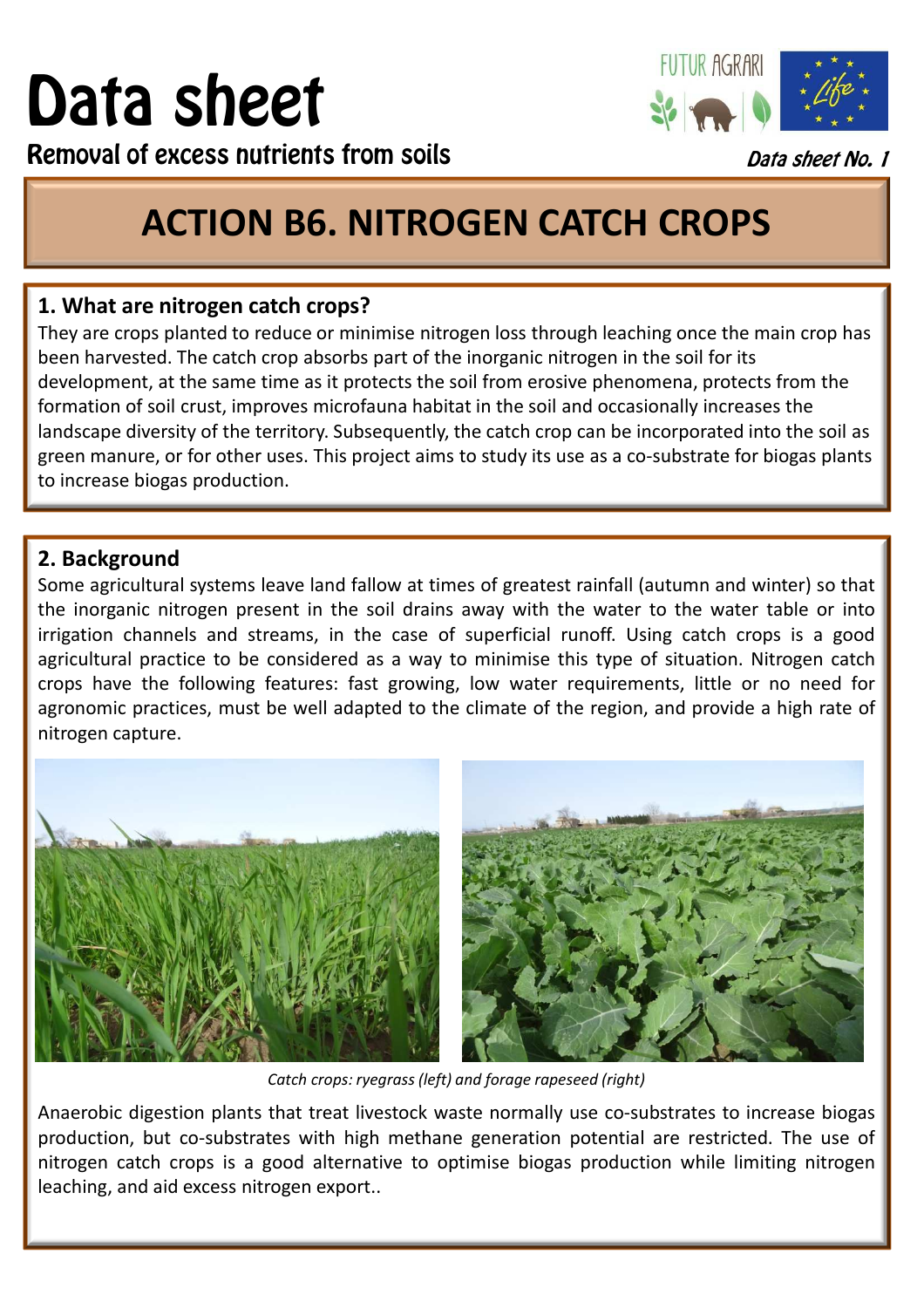# Data sheet



Removal of excess nutrients from soils

# Data sheet No. 1

# **ACTION B6. NITROGEN CATCH CROPS**

# **1. What are nitrogen catch crops?**

They are crops planted to reduce or minimise nitrogen loss through leaching once the main crop has been harvested. The catch crop absorbs part of the inorganic nitrogen in the soil for its development, at the same time as it protects the soil from erosive phenomena, protects from the formation of soil crust, improves microfauna habitat in the soil and occasionally increases the landscape diversity of the territory. Subsequently, the catch crop can be incorporated into the soil as green manure, or for other uses. This project aims to study its use as a co-substrate for biogas plants to increase biogas production.

## **2. Background**

Some agricultural systems leave land fallow at times of greatest rainfall (autumn and winter) so that the inorganic nitrogen present in the soil drains away with the water to the water table or into irrigation channels and streams, in the case of superficial runoff. Using catch crops is a good agricultural practice to be considered as a way to minimise this type of situation. Nitrogen catch crops have the following features: fast growing, low water requirements, little or no need for agronomic practices, must be well adapted to the climate of the region, and provide a high rate of nitrogen capture.



*Catch crops: ryegrass (left) and forage rapeseed (right)*

Anaerobic digestion plants that treat livestock waste normally use co-substrates to increase biogas production, but co-substrates with high methane generation potential are restricted. The use of nitrogen catch crops is a good alternative to optimise biogas production while limiting nitrogen leaching, and aid excess nitrogen export..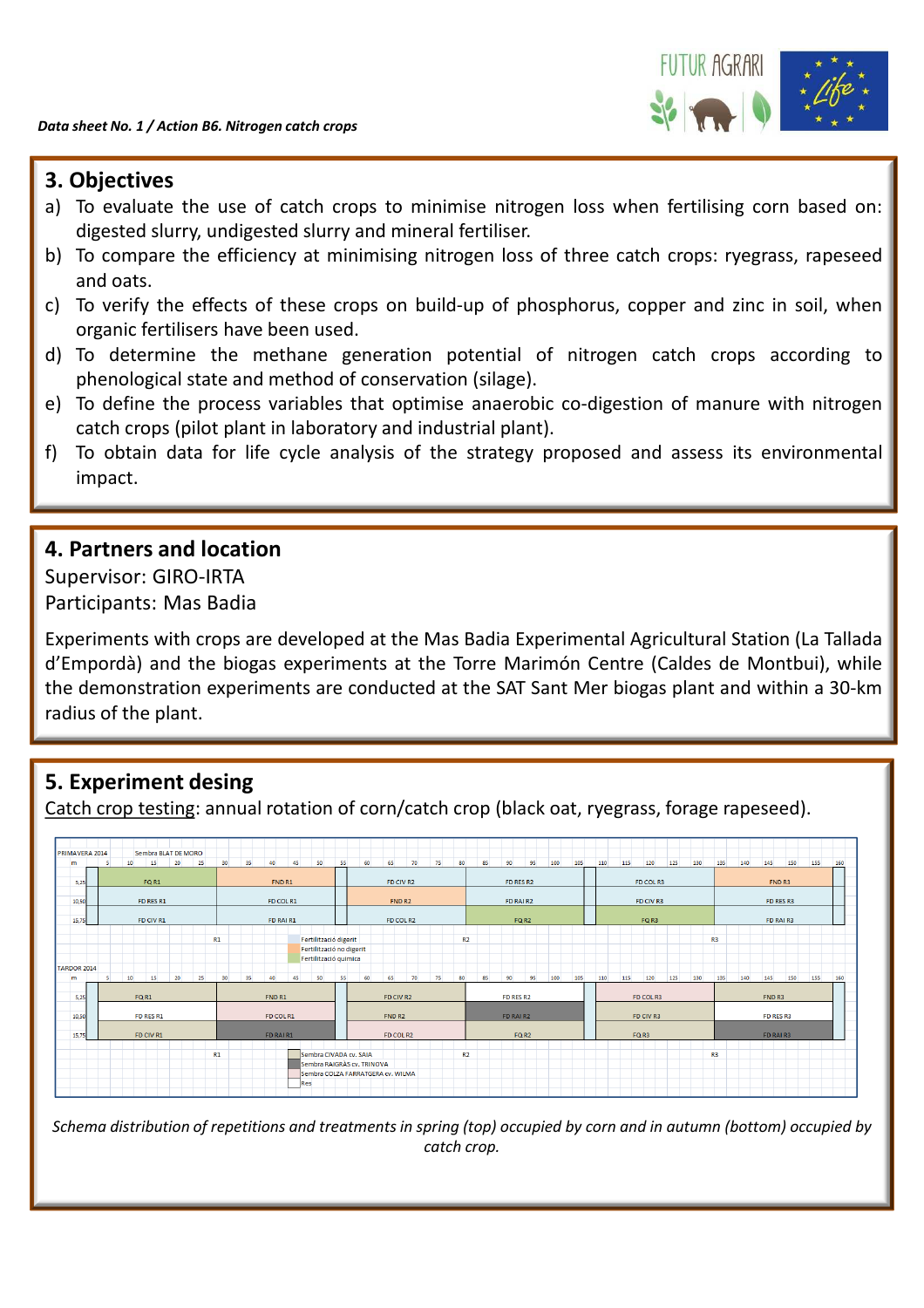

#### **3. Objectives**

- a) To evaluate the use of catch crops to minimise nitrogen loss when fertilising corn based on: digested slurry, undigested slurry and mineral fertiliser.
- b) To compare the efficiency at minimising nitrogen loss of three catch crops: ryegrass, rapeseed and oats.
- c) To verify the effects of these crops on build-up of phosphorus, copper and zinc in soil, when organic fertilisers have been used.
- d) To determine the methane generation potential of nitrogen catch crops according to phenological state and method of conservation (silage).
- e) To define the process variables that optimise anaerobic co-digestion of manure with nitrogen catch crops (pilot plant in laboratory and industrial plant).
- f) To obtain data for life cycle analysis of the strategy proposed and assess its environmental impact.

#### **4. Partners and location**

Supervisor: GIRO-IRTA Participants: Mas Badia

Experiments with crops are developed at the Mas Badia Experimental Agricultural Station (La Tallada d'Empordà) and the biogas experiments at the Torre Marimón Centre (Caldes de Montbui), while the demonstration experiments are conducted at the SAT Sant Mer biogas plant and within a 30-km radius of the plant.

# **5. Experiment desing**

Catch crop testing: annual rotation of corn/catch crop (black oat, ryegrass, forage rapeseed).

| PRIMAVERA 2014     |           |                 |    | Sembra BLAT DE MORO |    |    |                                                   |    |    |                       |    |                            |                                   |    |    |                |              |          |           |     |           |           |           |           |     |                |                |           |     |        |     |     |  |  |
|--------------------|-----------|-----------------|----|---------------------|----|----|---------------------------------------------------|----|----|-----------------------|----|----------------------------|-----------------------------------|----|----|----------------|--------------|----------|-----------|-----|-----------|-----------|-----------|-----------|-----|----------------|----------------|-----------|-----|--------|-----|-----|--|--|
| m                  | 5         | 10 <sup>1</sup> | 15 | 20                  | 25 | 30 | 35                                                | 40 | 45 | 50                    | 55 | 60                         | 65                                | 70 | 75 | 80             | 85           | 90       | 95        | 100 | 105       | 110       | 115       | 120       | 125 | 130            | 135            | 140       | 145 | 150    | 155 | 160 |  |  |
| 5,25               | FQ R1     |                 |    |                     |    |    | FND R1                                            |    |    |                       |    |                            | FD CIV R2                         |    |    |                |              |          | FD RES R2 |     |           |           |           | FD COL R3 |     |                |                |           |     | FND R3 |     |     |  |  |
| 10.50              | FD RES R1 |                 |    |                     |    |    | FD COL R1                                         |    |    |                       |    |                            | FND <sub>R2</sub>                 |    |    |                |              | FD RAIR2 |           |     |           |           | FD CIV R3 |           |     |                |                | FD RES R3 |     |        |     |     |  |  |
| 15,75              |           | FD CIV R1       |    |                     |    |    | FD RAI R1                                         |    |    |                       |    | FD COL R2                  |                                   |    |    |                | FQ R2        |          |           |     |           | FQ R3     |           |           |     |                |                | FD RAI R3 |     |        |     |     |  |  |
|                    |           |                 |    |                     |    | R1 |                                                   |    |    | Fertilització digerit |    |                            |                                   |    |    | R <sub>2</sub> |              |          |           |     |           |           |           |           |     |                | R <sub>3</sub> |           |     |        |     |     |  |  |
| <b>TARDOR 2014</b> |           |                 |    |                     |    |    | Fertilització no digerit<br>Fertilització quimica |    |    |                       |    |                            |                                   |    |    |                |              |          |           |     |           |           |           |           |     |                |                |           |     |        |     |     |  |  |
| m                  | s         | 10              | 15 | 20                  | 25 | 30 | 35                                                | 40 | 45 | 50                    | 55 | 60                         | 65                                | 70 | 75 | 80             | 85           | 90       | 95        | 100 | 105       | 110       | 115       | 120       | 125 | 130            | 135            | 140       | 145 | 150    | 155 | 160 |  |  |
| 5,25               |           | FQR1            |    |                     |    |    | FND R1                                            |    |    |                       |    | FD CIV R2                  |                                   |    |    | FD RES R2      |              |          |           |     | FD COL R3 |           |           |           |     |                | FND R3         |           |     |        |     |     |  |  |
| 10,50              |           | FD RES R1       |    |                     |    |    | FD COL R1                                         |    |    |                       |    | FND <sub>R2</sub>          |                                   |    |    |                | FD RAI R2    |          |           |     |           | FD CIV R3 |           |           |     |                |                | FD RES R3 |     |        |     |     |  |  |
| 15,75              |           | FD CIV R1       |    |                     |    |    | FD RAIR1                                          |    |    |                       |    | FD COL R2                  |                                   |    |    |                | <b>FQ R2</b> |          |           |     |           | FQ R3     |           |           |     |                |                | FD RAI R3 |     |        |     |     |  |  |
|                    |           |                 |    |                     |    |    | R1<br>Sembra CIVADA cv. SAIA                      |    |    |                       |    | Sembra RAIGRÀS cv. TRINOVA |                                   |    |    | R <sub>2</sub> |              |          |           |     |           |           |           |           |     | R <sub>3</sub> |                |           |     |        |     |     |  |  |
|                    |           |                 |    |                     |    |    | Res                                               |    |    |                       |    |                            | Sembra COLZA FARRATGERA cv. WILMA |    |    |                |              |          |           |     |           |           |           |           |     |                |                |           |     |        |     |     |  |  |

*Schema distribution of repetitions and treatments in spring (top) occupied by corn and in autumn (bottom) occupied by catch crop.*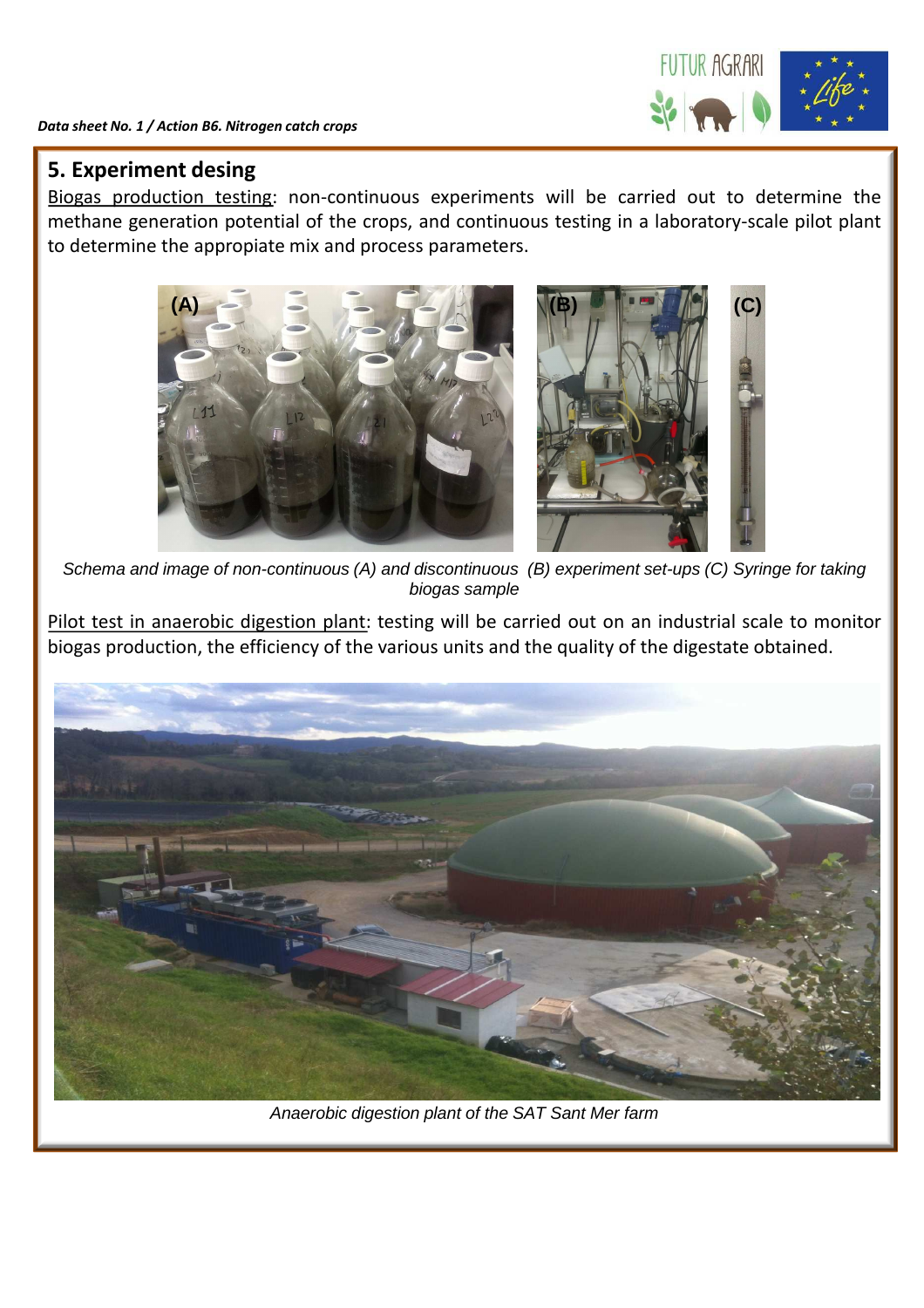

#### **5. Experiment desing**

Biogas production testing: non-continuous experiments will be carried out to determine the methane generation potential of the crops, and continuous testing in a laboratory-scale pilot plant to determine the appropiate mix and process parameters.



Schema and image of non-continuous (A) and discontinuous (B) experiment set-ups (C) Syringe for taking biogas sample

Pilot test in anaerobic digestion plant: testing will be carried out on an industrial scale to monitor biogas production, the efficiency of the various units and the quality of the digestate obtained.



Anaerobic digestion plant of the SAT Sant Mer farm